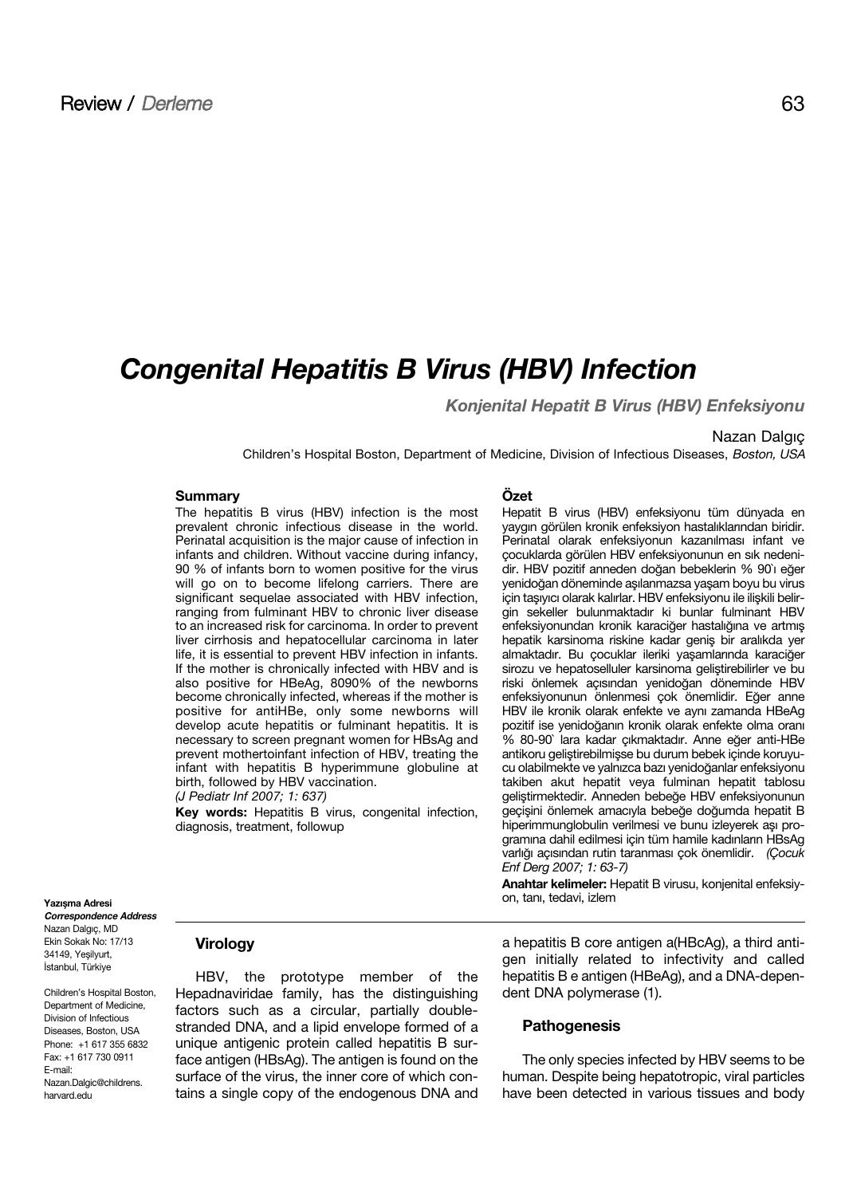# **Congenital Hepatitis B Virus (HBV) Infection**

**Konjenital Hepatit B Virus (HBV) Enfeksiyonu**

## Nazan Dalgıc

Children's Hospital Boston, Department of Medicine, Division of Infectious Diseases, Boston, USA

## **Summary**

The hepatitis B virus (HBV) infection is the most prevalent chronic infectious disease in the world. Perinatal acquisition is the major cause of infection in infants and children. Without vaccine during infancy, 90 % of infants born to women positive for the virus will go on to become lifelong carriers. There are significant sequelae associated with HBV infection, ranging from fulminant HBV to chronic liver disease to an increased risk for carcinoma. In order to prevent liver cirrhosis and hepatocellular carcinoma in later life, it is essential to prevent HBV infection in infants. If the mother is chronically infected with HBV and is also positive for HBeAg, 8090% of the newborns become chronically infected, whereas if the mother is positive for antiHBe, only some newborns will develop acute hepatitis or fulminant hepatitis. It is necessary to screen pregnant women for HBsAg and prevent mothertoinfant infection of HBV, treating the infant with hepatitis B hyperimmune globuline at birth, followed by HBV vaccination.

(J Pediatr Inf 2007; 1: 637)

**Key words:** Hepatitis B virus, congenital infection, diagnosis, treatment, followup

#### **Özet**

Hepatit B virus (HBV) enfeksiyonu tüm dünyada en vaygın görülen kronik enfeksiyon hastalıklarından biridir. Perinatal olarak enfeksiyonun kazanılması infant ve çocuklarda görülen HBV enfeksiyonunun en sık nedenidir. HBV pozitif anneden doğan bebeklerin % 90'ı eğer yenidoğan döneminde aşılanmazsa yaşam boyu bu virus için taşıyıcı olarak kalırlar. HBV enfeksiyonu ile ilişkili belirgin sekeller bulunmaktadır ki bunlar fulminant HBV enfeksiyonundan kronik karaciğer hastalığına ve artmış hepatik karsinoma riskine kadar geniş bir aralıkda yer almaktadır. Bu çocuklar ileriki yaşamlarında karaciğer sirozu ve hepatoselluler karsinoma geliştirebilirler ve bu riski önlemek açısından yenidoğan döneminde HBV enfeksiyonunun önlenmesi çok önemlidir. Eğer anne HBV ile kronik olarak enfekte ve aynı zamanda HBeAg pozitif ise venidoğanın kronik olarak enfekte olma oranı % 80-90` lara kadar çıkmaktadır. Anne eğer anti-HBe antikoru geliştirebilmişse bu durum bebek içinde koruyucu olabilmekte ve yalnızca bazı yenidoğanlar enfeksiyonu takiben akut hepatit veya fulminan hepatit tablosu geliştirmektedir. Anneden bebeğe HBV enfeksiyonunun geçişini önlemek amacıyla bebeğe doğumda hepatit B hiperimmunglobulin verilmesi ve bunu izleyerek aşı programına dahil edilmesi için tüm hamile kadınların HBsAg varlığı açısından rutin taranması çok önemlidir. (Cocuk Enf Derg 2007; 1: 63-7)

**Anahtar kelimeler:** Hepatit B virusu, konjenital enfeksiyon, tanı, tedavi, izlem

Yazışma Adresi **Correspondence Address** Nazan Dalgݍ, MD Ekin Sokak No: 17/13 34149, Yesilvurt, İstanbul, Türkiye

**11** harvard.edu Children's Hospital Boston, Department of Medicine, Division of Infectious Diseases, Boston, USA Phone: +1 617 355 6832 Fax: +1 617 730 0911 E-mail: Nazan.Dalgic@childrens.

## **Virology**

HBV, the prototype member of the Hepadnaviridae family, has the distinguishing factors such as a circular, partially doublestranded DNA, and a lipid envelope formed of a unique antigenic protein called hepatitis B surface antigen (HBsAg). The antigen is found on the surface of the virus, the inner core of which contains a single copy of the endogenous DNA and a hepatitis B core antigen a(HBcAg), a third antigen initially related to infectivity and called hepatitis B e antigen (HBeAg), and a DNA-dependent DNA polymerase (1).

## **Pathogenesis**

The only species infected by HBV seems to be human. Despite being hepatotropic, viral particles have been detected in various tissues and body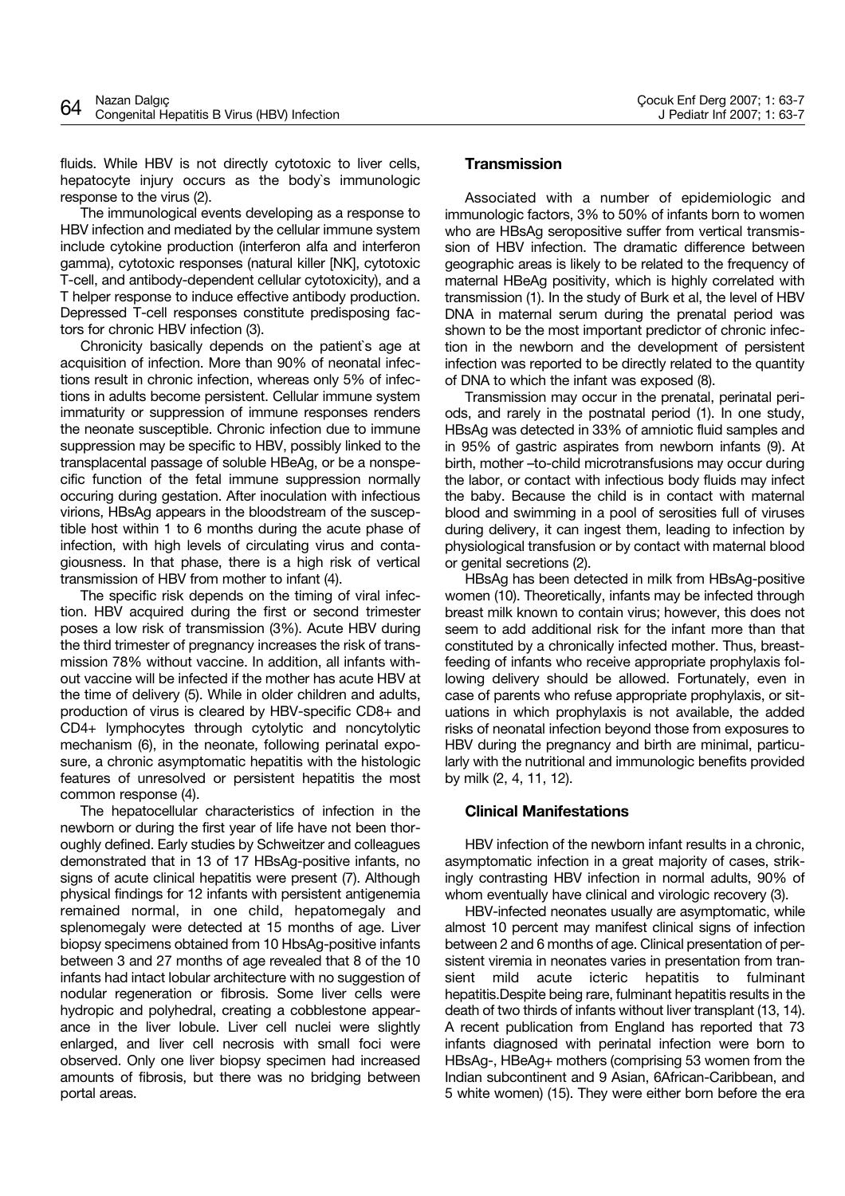fluids. While HBV is not directly cytotoxic to liver cells, hepatocyte injury occurs as the body`s immunologic response to the virus (2).

The immunological events developing as a response to HBV infection and mediated by the cellular immune system include cytokine production (interferon alfa and interferon gamma), cytotoxic responses (natural killer [NK], cytotoxic T-cell, and antibody-dependent cellular cytotoxicity), and a T helper response to induce effective antibody production. Depressed T-cell responses constitute predisposing factors for chronic HBV infection (3).

Chronicity basically depends on the patient`s age at acquisition of infection. More than 90% of neonatal infections result in chronic infection, whereas only 5% of infections in adults become persistent. Cellular immune system immaturity or suppression of immune responses renders the neonate susceptible. Chronic infection due to immune suppression may be specific to HBV, possibly linked to the transplacental passage of soluble HBeAg, or be a nonspecific function of the fetal immune suppression normally occuring during gestation. After inoculation with infectious virions, HBsAg appears in the bloodstream of the susceptible host within 1 to 6 months during the acute phase of infection, with high levels of circulating virus and contagiousness. In that phase, there is a high risk of vertical transmission of HBV from mother to infant (4).

The specific risk depends on the timing of viral infection. HBV acquired during the first or second trimester poses a low risk of transmission (3%). Acute HBV during the third trimester of pregnancy increases the risk of transmission 78% without vaccine. In addition, all infants without vaccine will be infected if the mother has acute HBV at the time of delivery (5). While in older children and adults, production of virus is cleared by HBV-specific CD8+ and CD4+ lymphocytes through cytolytic and noncytolytic mechanism (6), in the neonate, following perinatal exposure, a chronic asymptomatic hepatitis with the histologic features of unresolved or persistent hepatitis the most common response (4).

The hepatocellular characteristics of infection in the newborn or during the first year of life have not been thoroughly defined. Early studies by Schweitzer and colleagues demonstrated that in 13 of 17 HBsAg-positive infants, no signs of acute clinical hepatitis were present (7). Although physical findings for 12 infants with persistent antigenemia remained normal, in one child, hepatomegaly and splenomegaly were detected at 15 months of age. Liver biopsy specimens obtained from 10 HbsAg-positive infants between 3 and 27 months of age revealed that 8 of the 10 infants had intact lobular architecture with no suggestion of nodular regeneration or fibrosis. Some liver cells were hydropic and polyhedral, creating a cobblestone appearance in the liver lobule. Liver cell nuclei were slightly enlarged, and liver cell necrosis with small foci were observed. Only one liver biopsy specimen had increased amounts of fibrosis, but there was no bridging between portal areas.

# **Transmission**

Associated with a number of epidemiologic and immunologic factors, 3% to 50% of infants born to women who are HBsAg seropositive suffer from vertical transmission of HBV infection. The dramatic difference between geographic areas is likely to be related to the frequency of maternal HBeAg positivity, which is highly correlated with transmission (1). In the study of Burk et al, the level of HBV DNA in maternal serum during the prenatal period was shown to be the most important predictor of chronic infection in the newborn and the development of persistent infection was reported to be directly related to the quantity of DNA to which the infant was exposed (8).

Transmission may occur in the prenatal, perinatal periods, and rarely in the postnatal period (1). In one study, HBsAg was detected in 33% of amniotic fluid samples and in 95% of gastric aspirates from newborn infants (9). At birth, mother –to-child microtransfusions may occur during the labor, or contact with infectious body fluids may infect the baby. Because the child is in contact with maternal blood and swimming in a pool of serosities full of viruses during delivery, it can ingest them, leading to infection by physiological transfusion or by contact with maternal blood or genital secretions (2).

HBsAg has been detected in milk from HBsAg-positive women (10). Theoretically, infants may be infected through breast milk known to contain virus; however, this does not seem to add additional risk for the infant more than that constituted by a chronically infected mother. Thus, breastfeeding of infants who receive appropriate prophylaxis following delivery should be allowed. Fortunately, even in case of parents who refuse appropriate prophylaxis, or situations in which prophylaxis is not available, the added risks of neonatal infection beyond those from exposures to HBV during the pregnancy and birth are minimal, particularly with the nutritional and immunologic benefits provided by milk (2, 4, 11, 12).

## **Clinical Manifestations**

HBV infection of the newborn infant results in a chronic, asymptomatic infection in a great majority of cases, strikingly contrasting HBV infection in normal adults, 90% of whom eventually have clinical and virologic recovery (3).

HBV-infected neonates usually are asymptomatic, while almost 10 percent may manifest clinical signs of infection between 2 and 6 months of age. Clinical presentation of persistent viremia in neonates varies in presentation from transient mild acute icteric hepatitis to fulminant hepatitis.Despite being rare, fulminant hepatitis results in the death of two thirds of infants without liver transplant (13, 14). A recent publication from England has reported that 73 infants diagnosed with perinatal infection were born to HBsAg-, HBeAg+ mothers (comprising 53 women from the Indian subcontinent and 9 Asian, 6African-Caribbean, and 5 white women) (15). They were either born before the era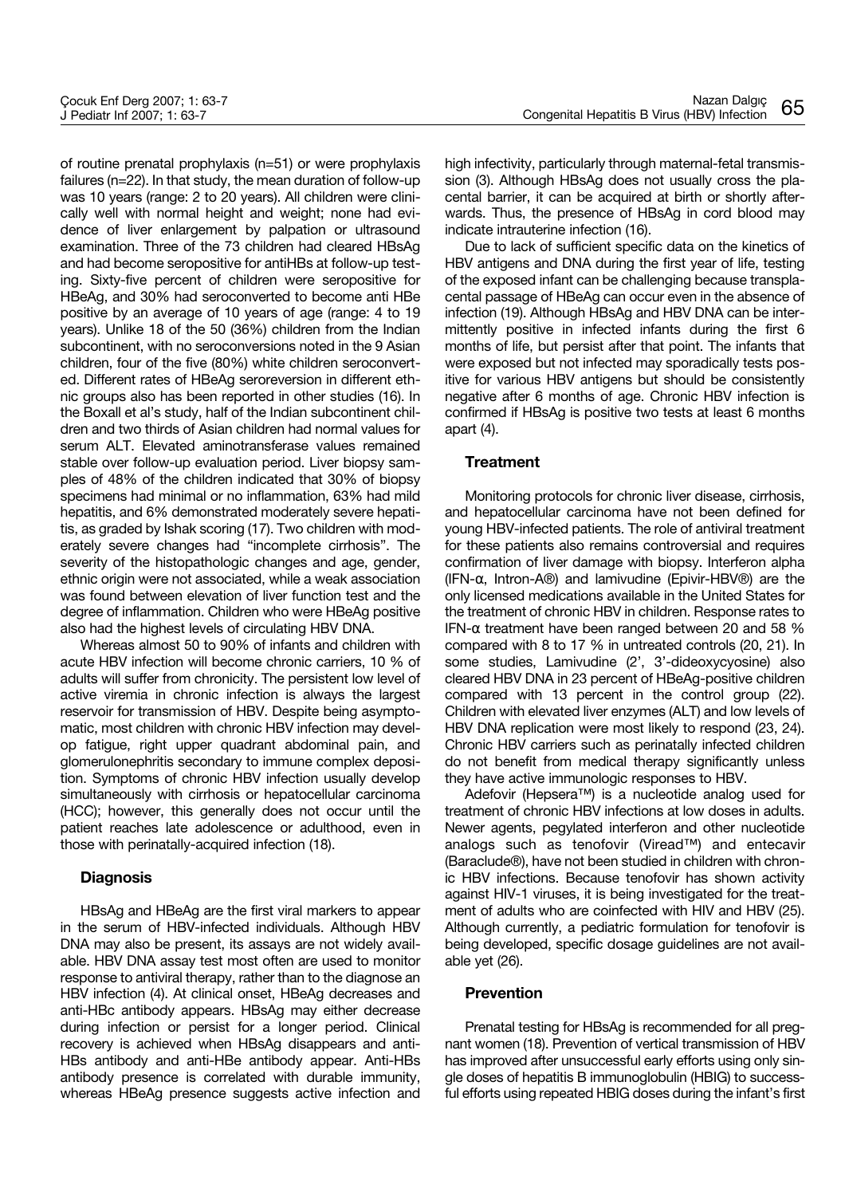failures (n=22). In that study, the mean duration of follow-up was 10 years (range: 2 to 20 years). All children were clinically well with normal height and weight; none had evidence of liver enlargement by palpation or ultrasound examination. Three of the 73 children had cleared HBsAg and had become seropositive for antiHBs at follow-up testing. Sixty-five percent of children were seropositive for HBeAg, and 30% had seroconverted to become anti HBe positive by an average of 10 years of age (range: 4 to 19 years). Unlike 18 of the 50 (36%) children from the Indian subcontinent, with no seroconversions noted in the 9 Asian children, four of the five (80%) white children seroconverted. Different rates of HBeAg seroreversion in different ethnic groups also has been reported in other studies (16). In the Boxall et al's study, half of the Indian subcontinent children and two thirds of Asian children had normal values for serum ALT. Elevated aminotransferase values remained stable over follow-up evaluation period. Liver biopsy samples of 48% of the children indicated that 30% of biopsy specimens had minimal or no inflammation, 63% had mild hepatitis, and 6% demonstrated moderately severe hepatitis, as graded by Ishak scoring (17). Two children with moderately severe changes had "incomplete cirrhosis". The severity of the histopathologic changes and age, gender, ethnic origin were not associated, while a weak association was found between elevation of liver function test and the degree of inflammation. Children who were HBeAg positive also had the highest levels of circulating HBV DNA.

Whereas almost 50 to 90% of infants and children with acute HBV infection will become chronic carriers, 10 % of adults will suffer from chronicity. The persistent low level of active viremia in chronic infection is always the largest reservoir for transmission of HBV. Despite being asymptomatic, most children with chronic HBV infection may develop fatigue, right upper quadrant abdominal pain, and glomerulonephritis secondary to immune complex deposition. Symptoms of chronic HBV infection usually develop simultaneously with cirrhosis or hepatocellular carcinoma (HCC); however, this generally does not occur until the patient reaches late adolescence or adulthood, even in those with perinatally-acquired infection (18).

# **Diagnosis**

HBsAg and HBeAg are the first viral markers to appear in the serum of HBV-infected individuals. Although HBV DNA may also be present, its assays are not widely available. HBV DNA assay test most often are used to monitor response to antiviral therapy, rather than to the diagnose an HBV infection (4). At clinical onset, HBeAg decreases and anti-HBc antibody appears. HBsAg may either decrease during infection or persist for a longer period. Clinical recovery is achieved when HBsAg disappears and anti-HBs antibody and anti-HBe antibody appear. Anti-HBs antibody presence is correlated with durable immunity, whereas HBeAg presence suggests active infection and high infectivity, particularly through maternal-fetal transmission (3). Although HBsAg does not usually cross the placental barrier, it can be acquired at birth or shortly afterwards. Thus, the presence of HBsAg in cord blood may indicate intrauterine infection (16).

Nazan Dalgıc

Due to lack of sufficient specific data on the kinetics of HBV antigens and DNA during the first year of life, testing of the exposed infant can be challenging because transplacental passage of HBeAg can occur even in the absence of infection (19). Although HBsAg and HBV DNA can be intermittently positive in infected infants during the first 6 months of life, but persist after that point. The infants that were exposed but not infected may sporadically tests positive for various HBV antigens but should be consistently negative after 6 months of age. Chronic HBV infection is confirmed if HBsAg is positive two tests at least 6 months apart (4).

# **Treatment**

Monitoring protocols for chronic liver disease, cirrhosis, and hepatocellular carcinoma have not been defined for young HBV-infected patients. The role of antiviral treatment for these patients also remains controversial and requires confirmation of liver damage with biopsy. Interferon alpha (IFN-α, Intron-A®) and lamivudine (Epivir-HBV®) are the only licensed medications available in the United States for the treatment of chronic HBV in children. Response rates to IFN- $\alpha$  treatment have been ranged between 20 and 58 % compared with 8 to 17 % in untreated controls (20, 21). In some studies, Lamivudine (2', 3'-dideoxycyosine) also cleared HBV DNA in 23 percent of HBeAg-positive children compared with 13 percent in the control group (22). Children with elevated liver enzymes (ALT) and low levels of HBV DNA replication were most likely to respond (23, 24). Chronic HBV carriers such as perinatally infected children do not benefit from medical therapy significantly unless they have active immunologic responses to HBV.

Adefovir (Hepsera™) is a nucleotide analog used for treatment of chronic HBV infections at low doses in adults. Newer agents, pegylated interferon and other nucleotide analogs such as tenofovir (Viread™) and entecavir (Baraclude®), have not been studied in children with chronic HBV infections. Because tenofovir has shown activity against HIV-1 viruses, it is being investigated for the treatment of adults who are coinfected with HIV and HBV (25). Although currently, a pediatric formulation for tenofovir is being developed, specific dosage guidelines are not available yet (26).

# **Prevention**

Prenatal testing for HBsAg is recommended for all pregnant women (18). Prevention of vertical transmission of HBV has improved after unsuccessful early efforts using only single doses of hepatitis B immunoglobulin (HBIG) to successful efforts using repeated HBIG doses during the infant's first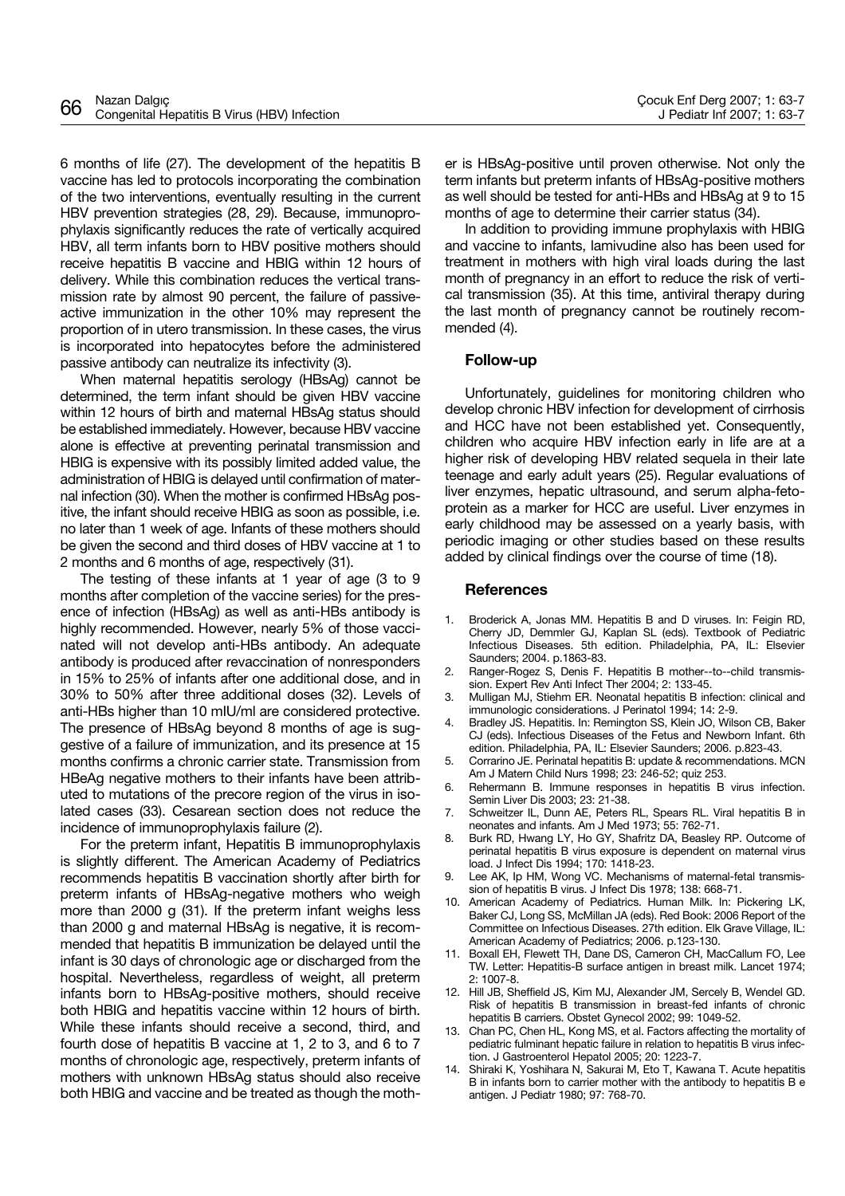6 months of life (27). The development of the hepatitis B vaccine has led to protocols incorporating the combination of the two interventions, eventually resulting in the current HBV prevention strategies (28, 29). Because, immunoprophylaxis significantly reduces the rate of vertically acquired HBV, all term infants born to HBV positive mothers should receive hepatitis B vaccine and HBIG within 12 hours of delivery. While this combination reduces the vertical transmission rate by almost 90 percent, the failure of passiveactive immunization in the other 10% may represent the proportion of in utero transmission. In these cases, the virus is incorporated into hepatocytes before the administered passive antibody can neutralize its infectivity (3).

When maternal hepatitis serology (HBsAg) cannot be determined, the term infant should be given HBV vaccine within 12 hours of birth and maternal HBsAg status should be established immediately. However, because HBV vaccine alone is effective at preventing perinatal transmission and HBIG is expensive with its possibly limited added value, the administration of HBIG is delayed until confirmation of maternal infection (30). When the mother is confirmed HBsAg positive, the infant should receive HBIG as soon as possible, i.e. no later than 1 week of age. Infants of these mothers should be given the second and third doses of HBV vaccine at 1 to 2 months and 6 months of age, respectively (31).

The testing of these infants at 1 year of age (3 to 9 months after completion of the vaccine series) for the presence of infection (HBsAg) as well as anti-HBs antibody is highly recommended. However, nearly 5% of those vaccinated will not develop anti-HBs antibody. An adequate antibody is produced after revaccination of nonresponders in 15% to 25% of infants after one additional dose, and in 30% to 50% after three additional doses (32). Levels of anti-HBs higher than 10 mIU/ml are considered protective. The presence of HBsAg beyond 8 months of age is suggestive of a failure of immunization, and its presence at 15 months confirms a chronic carrier state. Transmission from HBeAg negative mothers to their infants have been attributed to mutations of the precore region of the virus in isolated cases (33). Cesarean section does not reduce the incidence of immunoprophylaxis failure (2).

For the preterm infant, Hepatitis B immunoprophylaxis is slightly different. The American Academy of Pediatrics recommends hepatitis B vaccination shortly after birth for preterm infants of HBsAg-negative mothers who weigh more than 2000 g (31). If the preterm infant weighs less than 2000 g and maternal HBsAg is negative, it is recommended that hepatitis B immunization be delayed until the infant is 30 days of chronologic age or discharged from the hospital. Nevertheless, regardless of weight, all preterm infants born to HBsAg-positive mothers, should receive both HBIG and hepatitis vaccine within 12 hours of birth. While these infants should receive a second, third, and fourth dose of hepatitis B vaccine at 1, 2 to 3, and 6 to 7 months of chronologic age, respectively, preterm infants of mothers with unknown HBsAg status should also receive both HBIG and vaccine and be treated as though the mother is HBsAg-positive until proven otherwise. Not only the term infants but preterm infants of HBsAg-positive mothers as well should be tested for anti-HBs and HBsAg at 9 to 15 months of age to determine their carrier status (34).

In addition to providing immune prophylaxis with HBIG and vaccine to infants, lamivudine also has been used for treatment in mothers with high viral loads during the last month of pregnancy in an effort to reduce the risk of vertical transmission (35). At this time, antiviral therapy during the last month of pregnancy cannot be routinely recommended (4).

## **Follow-up**

Unfortunately, guidelines for monitoring children who develop chronic HBV infection for development of cirrhosis and HCC have not been established yet. Consequently, children who acquire HBV infection early in life are at a higher risk of developing HBV related sequela in their late teenage and early adult years (25). Regular evaluations of liver enzymes, hepatic ultrasound, and serum alpha-fetoprotein as a marker for HCC are useful. Liver enzymes in early childhood may be assessed on a yearly basis, with periodic imaging or other studies based on these results added by clinical findings over the course of time (18).

## **References**

- 1. Broderick A, Jonas MM. Hepatitis B and D viruses. In: Feigin RD, Cherry JD, Demmler GJ, Kaplan SL (eds). Textbook of Pediatric Infectious Diseases. 5th edition. Philadelphia, PA, IL: Elsevier Saunders; 2004. p.1863-83.
- 2. Ranger-Rogez S, Denis F. Hepatitis B mother--to--child transmission. Expert Rev Anti Infect Ther 2004; 2: 133-45.
- 3. Mulligan MJ, Stiehm ER. Neonatal hepatitis B infection: clinical and immunologic considerations. J Perinatol 1994; 14: 2-9.
- 4. Bradley JS. Hepatitis. In: Remington SS, Klein JO, Wilson CB, Baker CJ (eds). Infectious Diseases of the Fetus and Newborn Infant. 6th edition. Philadelphia, PA, IL: Elsevier Saunders; 2006. p.823-43.
- 5. Corrarino JE. Perinatal hepatitis B: update & recommendations. MCN Am J Matern Child Nurs 1998; 23: 246-52; quiz 253.
- 6. Rehermann B. Immune responses in hepatitis B virus infection. Semin Liver Dis 2003; 23: 21-38.
- 7. Schweitzer IL, Dunn AE, Peters RL, Spears RL. Viral hepatitis B in neonates and infants. Am J Med 1973; 55: 762-71.
- 8. Burk RD, Hwang LY, Ho GY, Shafritz DA, Beasley RP. Outcome of perinatal hepatitis B virus exposure is dependent on maternal virus load. J Infect Dis 1994; 170: 1418-23.
- Lee AK, Ip HM, Wong VC. Mechanisms of maternal-fetal transmission of hepatitis B virus. J Infect Dis 1978; 138: 668-71.
- 10. American Academy of Pediatrics. Human Milk. In: Pickering LK, Baker CJ, Long SS, McMillan JA (eds). Red Book: 2006 Report of the Committee on Infectious Diseases. 27th edition. Elk Grave Village, IL: American Academy of Pediatrics; 2006. p.123-130.
- 11. Boxall EH, Flewett TH, Dane DS, Cameron CH, MacCallum FO, Lee TW. Letter: Hepatitis-B surface antigen in breast milk. Lancet 1974; 2: 1007-8.
- 12. Hill JB, Sheffield JS, Kim MJ, Alexander JM, Sercely B, Wendel GD. Risk of hepatitis B transmission in breast-fed infants of chronic hepatitis B carriers. Obstet Gynecol 2002; 99: 1049-52.
- 13. Chan PC, Chen HL, Kong MS, et al. Factors affecting the mortality of pediatric fulminant hepatic failure in relation to hepatitis B virus infection. J Gastroenterol Hepatol 2005; 20: 1223-7.
- 14. Shiraki K, Yoshihara N, Sakurai M, Eto T, Kawana T. Acute hepatitis B in infants born to carrier mother with the antibody to hepatitis B e antigen. J Pediatr 1980; 97: 768-70.